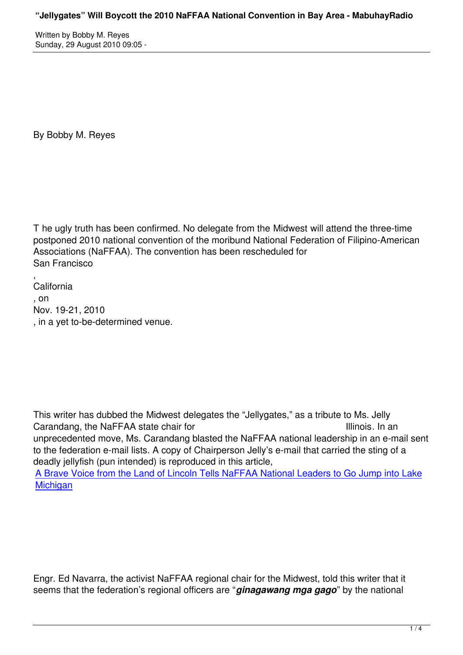By Bobby M. Reyes

T he ugly truth has been confirmed. No delegate from the Midwest will attend the three-time postponed 2010 national convention of the moribund National Federation of Filipino-American Associations (NaFFAA). The convention has been rescheduled for San Francisco

, California , on Nov. 19-21, 2010 , in a yet to-be-determined venue.

This writer has dubbed the Midwest delegates the "Jellygates," as a tribute to Ms. Jelly Carandang, the NaFFAA state chair for Illinois. In an unprecedented move, Ms. Carandang blasted the NaFFAA national leadership in an e-mail sent to the federation e-mail lists. A copy of Chairperson Jelly's e-mail that carried the sting of a deadly jellyfish (pun intended) is reproduced in this article,

A Brave Voice from the Land of Lincoln Tells NaFFAA National Leaders to Go Jump into Lake **Michigan** 

Engr. Ed Navarra, the activist NaFFAA regional chair for the Midwest, told this writer that it seems that the federation's regional officers are "*ginagawang mga gago*" by the national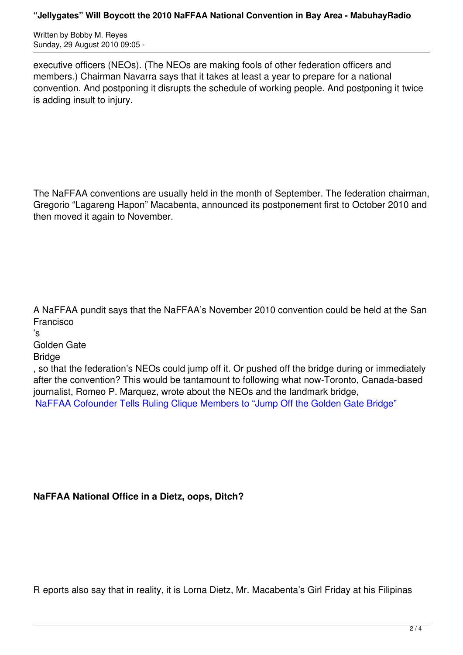executive officers (NEOs). (The NEOs are making fools of other federation officers and members.) Chairman Navarra says that it takes at least a year to prepare for a national convention. And postponing it disrupts the schedule of working people. And postponing it twice is adding insult to injury.

The NaFFAA conventions are usually held in the month of September. The federation chairman, Gregorio "Lagareng Hapon" Macabenta, announced its postponement first to October 2010 and then moved it again to November.

A NaFFAA pundit says that the NaFFAA's November 2010 convention could be held at the San Francisco

's

Golden Gate

**Bridge** 

, so that the federation's NEOs could jump off it. Or pushed off the bridge during or immediately after the convention? This would be tantamount to following what now-Toronto, Canada-based journalist, Romeo P. Marquez, wrote about the NEOs and the landmark bridge, NaFFAA Cofounder Tells Ruling Clique Members to "Jump Off the Golden Gate Bridge"

## **NaFFAA National Office in a Dietz, oops, Ditch?**

R eports also say that in reality, it is Lorna Dietz, Mr. Macabenta's Girl Friday at his Filipinas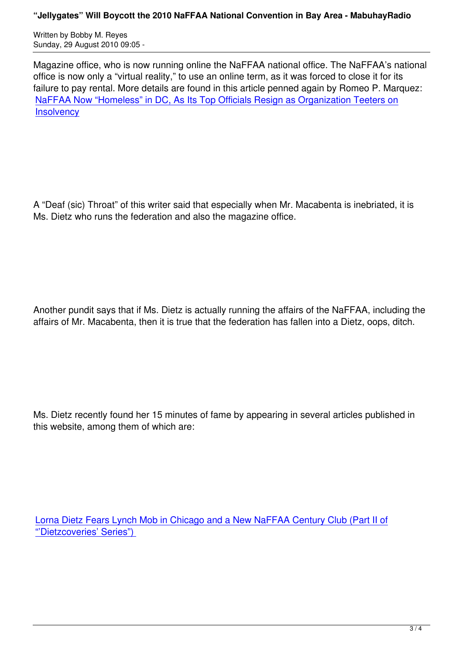Written by Bobby M. Reyes Sunday, 29 August 2010 09:05 -

Magazine office, who is now running online the NaFFAA national office. The NaFFAA's national office is now only a "virtual reality," to use an online term, as it was forced to close it for its failure to pay rental. More details are found in this article penned again by Romeo P. Marquez: NaFFAA Now "Homeless" in DC, As Its Top Officials Resign as Organization Teeters on **Insolvency** 

A "Deaf (sic) Throat" of this writer said that especially when Mr. Macabenta is inebriated, it is Ms. Dietz who runs the federation and also the magazine office.

Another pundit says that if Ms. Dietz is actually running the affairs of the NaFFAA, including the affairs of Mr. Macabenta, then it is true that the federation has fallen into a Dietz, oops, ditch.

Ms. Dietz recently found her 15 minutes of fame by appearing in several articles published in this website, among them of which are:

Lorna Dietz Fears Lynch Mob in Chicago and a New NaFFAA Century Club (Part II of "'Dietzcoveries' Series")